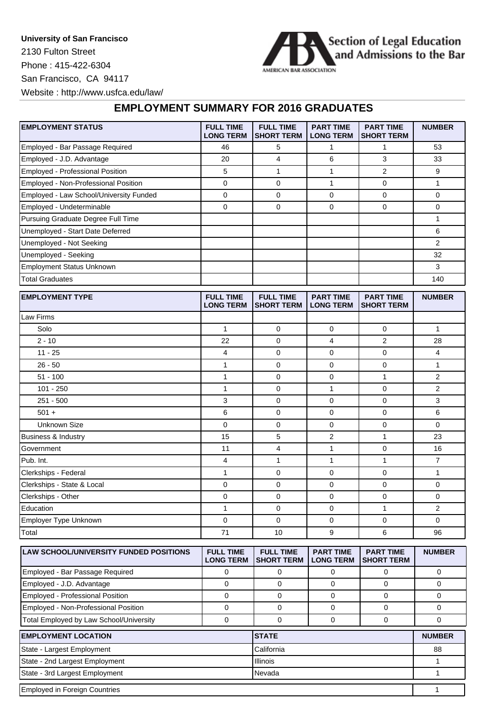**University of San Francisco** 2130 Fulton Street Phone : 415-422-6304 San Francisco, CA 94117



Website : http://www.usfca.edu/law/

## **EMPLOYMENT SUMMARY FOR 2016 GRADUATES**

| <b>EMPLOYMENT STATUS</b>                      | <b>FULL TIME</b><br><b>LONG TERM</b> | <b>FULL TIME</b><br><b>SHORT TERM</b> | <b>PART TIME</b><br><b>LONG TERM</b> | <b>PART TIME</b><br><b>SHORT TERM</b> | <b>NUMBER</b>           |
|-----------------------------------------------|--------------------------------------|---------------------------------------|--------------------------------------|---------------------------------------|-------------------------|
| Employed - Bar Passage Required               | 46                                   | 5                                     | $\mathbf{1}$                         | $\mathbf{1}$                          | 53                      |
| Employed - J.D. Advantage                     | 20                                   | 4                                     | 6                                    | 3                                     | 33                      |
| Employed - Professional Position              | 5                                    | $\mathbf{1}$                          | $\mathbf{1}$                         | 2                                     | 9                       |
| Employed - Non-Professional Position          | $\mathbf 0$                          | 0                                     | $\mathbf{1}$                         | 0                                     | $\mathbf{1}$            |
| Employed - Law School/University Funded       | $\mathbf 0$                          | 0                                     | $\mathbf 0$                          | 0                                     | $\Omega$                |
| Employed - Undeterminable                     | $\mathbf 0$                          | 0                                     | $\mathbf 0$                          | 0                                     | 0                       |
| Pursuing Graduate Degree Full Time            |                                      |                                       |                                      |                                       | 1                       |
| Unemployed - Start Date Deferred              |                                      |                                       |                                      |                                       | 6                       |
| Unemployed - Not Seeking                      |                                      |                                       |                                      |                                       | $\overline{2}$          |
| Unemployed - Seeking                          |                                      |                                       |                                      |                                       | 32                      |
| <b>Employment Status Unknown</b>              |                                      |                                       |                                      |                                       | 3                       |
| <b>Total Graduates</b>                        |                                      |                                       |                                      |                                       | 140                     |
| <b>EMPLOYMENT TYPE</b>                        | <b>FULL TIME</b><br><b>LONG TERM</b> | <b>FULL TIME</b><br><b>SHORT TERM</b> | <b>PART TIME</b><br><b>LONG TERM</b> | <b>PART TIME</b><br><b>SHORT TERM</b> | <b>NUMBER</b>           |
| Law Firms                                     |                                      |                                       |                                      |                                       |                         |
| Solo                                          | $\mathbf{1}$                         | 0                                     | 0                                    | 0                                     | 1                       |
| $2 - 10$                                      | 22                                   | 0                                     | 4                                    | $\overline{2}$                        | 28                      |
| $11 - 25$                                     | $\overline{4}$                       | 0                                     | $\mathbf 0$                          | 0                                     | $\overline{\mathbf{4}}$ |
| $26 - 50$                                     | $\mathbf{1}$                         | 0                                     | $\mathbf 0$                          | 0                                     | 1                       |
| $51 - 100$                                    | $\mathbf{1}$                         | 0                                     | $\mathbf 0$                          | $\mathbf{1}$                          | $\overline{2}$          |
| $101 - 250$                                   | $\mathbf{1}$                         | $\mathbf 0$                           | $\mathbf{1}$                         | 0                                     | $\overline{2}$          |
| $251 - 500$                                   | 3                                    | $\mathbf 0$                           | $\mathbf 0$                          | 0                                     | 3                       |
| $501 +$                                       | 6                                    | $\mathbf 0$                           | $\mathbf 0$                          | 0                                     | 6                       |
| <b>Unknown Size</b>                           | $\mathbf 0$                          | $\mathbf 0$                           | $\mathbf 0$                          | 0                                     | 0                       |
| <b>Business &amp; Industry</b>                | 15                                   | 5                                     | $\boldsymbol{2}$                     | $\mathbf{1}$                          | 23                      |
| Government                                    | 11                                   | $\overline{4}$                        | $\mathbf{1}$                         | 0                                     | 16                      |
| Pub. Int.                                     | 4                                    | 1                                     | $\mathbf{1}$                         | 1                                     | 7                       |
| Clerkships - Federal                          | $\mathbf{1}$                         | $\mathbf 0$                           | $\mathbf 0$                          | 0                                     | 1                       |
| Clerkships - State & Local                    | 0                                    | 0                                     | $\mathbf 0$                          | 0                                     | 0                       |
| Clerkships - Other                            | $\mathbf 0$                          | $\mathbf 0$                           | $\mathbf 0$                          | 0                                     | 0                       |
| Education                                     | $\mathbf{1}$                         | $\mathbf 0$                           | $\Omega$                             | $\mathbf{1}$                          | $\overline{2}$          |
| Employer Type Unknown                         | 0                                    | $\mathbf 0$                           | $\mathbf 0$                          | 0                                     | 0                       |
| Total                                         | 71                                   | 10                                    | 9                                    | 6                                     | 96                      |
| <b>LAW SCHOOL/UNIVERSITY FUNDED POSITIONS</b> | <b>FULL TIME</b><br><b>LONG TERM</b> | <b>FULL TIME</b><br><b>SHORT TERM</b> | <b>PART TIME</b><br><b>LONG TERM</b> | <b>PART TIME</b><br><b>SHORT TERM</b> | <b>NUMBER</b>           |

| LAW SUNUULJUNIVERSITT FUNDED FUSITIUNS  | FULL IIVIE<br><b>LONG TERM</b> | FULL IIVIE<br><b>SHORT TERM</b> | <b>FANI IIVE</b><br><b>LONG TERM</b> | <b>FANI IIVE</b><br>ISHORT TERM | IVUMDEN       |
|-----------------------------------------|--------------------------------|---------------------------------|--------------------------------------|---------------------------------|---------------|
| Employed - Bar Passage Required         |                                |                                 |                                      |                                 |               |
| Employed - J.D. Advantage               |                                |                                 |                                      |                                 |               |
| Employed - Professional Position        |                                |                                 |                                      |                                 |               |
| Employed - Non-Professional Position    |                                |                                 |                                      |                                 |               |
| Total Employed by Law School/University |                                |                                 |                                      |                                 |               |
| <b>EMPLOYMENT LOCATION</b>              |                                | <b>STATE</b>                    |                                      |                                 | <b>NUMBER</b> |
| State - Largest Employment              |                                | California                      |                                      |                                 | 88            |
| State - 2nd Largest Employment          |                                | Illinois                        |                                      |                                 |               |

State - 3rd Largest Employment 1